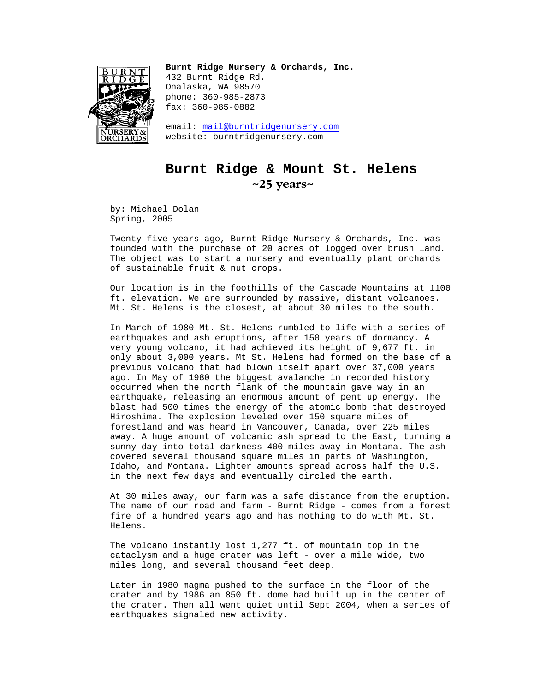

**Burnt Ridge Nursery & Orchards, Inc.**  432 Burnt Ridge Rd. Onalaska, WA 98570 phone: 360-985-2873 fax: 360-985-0882

email: mail@burntridgenursery.com website: burntridgenursery.com

## **Burnt Ridge & Mount St. Helens ~25 years~**

by: Michael Dolan Spring, 2005

Twenty-five years ago, Burnt Ridge Nursery & Orchards, Inc. was founded with the purchase of 20 acres of logged over brush land. The object was to start a nursery and eventually plant orchards of sustainable fruit & nut crops.

Our location is in the foothills of the Cascade Mountains at 1100 ft. elevation. We are surrounded by massive, distant volcanoes. Mt. St. Helens is the closest, at about 30 miles to the south.

In March of 1980 Mt. St. Helens rumbled to life with a series of earthquakes and ash eruptions, after 150 years of dormancy. A very young volcano, it had achieved its height of 9,677 ft. in only about 3,000 years. Mt St. Helens had formed on the base of a previous volcano that had blown itself apart over 37,000 years ago. In May of 1980 the biggest avalanche in recorded history occurred when the north flank of the mountain gave way in an earthquake, releasing an enormous amount of pent up energy. The blast had 500 times the energy of the atomic bomb that destroyed Hiroshima. The explosion leveled over 150 square miles of forestland and was heard in Vancouver, Canada, over 225 miles away. A huge amount of volcanic ash spread to the East, turning a sunny day into total darkness 400 miles away in Montana. The ash covered several thousand square miles in parts of Washington, Idaho, and Montana. Lighter amounts spread across half the U.S. in the next few days and eventually circled the earth.

At 30 miles away, our farm was a safe distance from the eruption. The name of our road and farm - Burnt Ridge - comes from a forest fire of a hundred years ago and has nothing to do with Mt. St. Helens.

The volcano instantly lost 1,277 ft. of mountain top in the cataclysm and a huge crater was left - over a mile wide, two miles long, and several thousand feet deep.

Later in 1980 magma pushed to the surface in the floor of the crater and by 1986 an 850 ft. dome had built up in the center of the crater. Then all went quiet until Sept 2004, when a series of earthquakes signaled new activity.